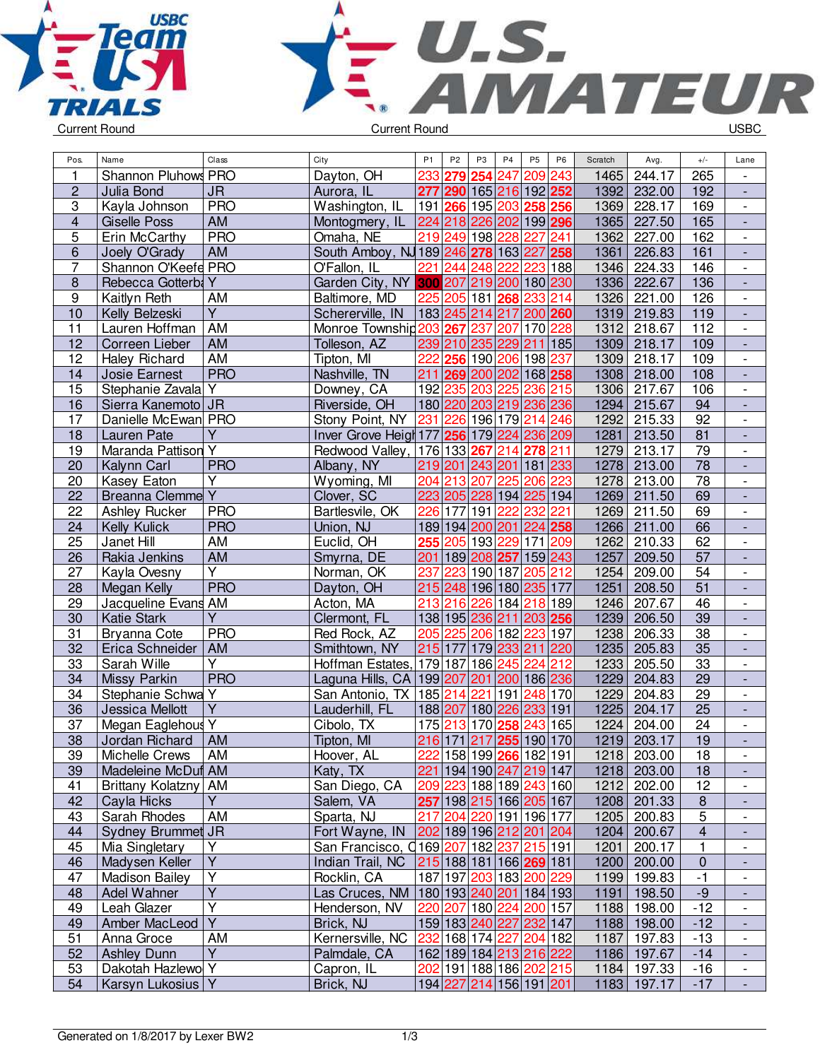



| Pos.                    | Name                                      | Class                   | City                                    | P <sub>1</sub> | P <sub>2</sub> | P <sub>3</sub>  | P <sub>4</sub>                 | P <sub>5</sub> | P <sub>6</sub> | Scratch | Avg.          | $+/-$                   | Lane                           |
|-------------------------|-------------------------------------------|-------------------------|-----------------------------------------|----------------|----------------|-----------------|--------------------------------|----------------|----------------|---------|---------------|-------------------------|--------------------------------|
| $\mathbf{1}$            | Shannon Pluhows PRO                       |                         | Dayton, OH                              | 233            | 279            | 254             | 247                            | <u> 209  </u>  | 243            | 1465    | 244.17        | 265                     |                                |
| $\overline{c}$          | Julia Bond                                | <b>JR</b>               | Aurora, IL                              | 277            |                |                 | 290 165 216                    | 192 252        |                | 1392    | 232.00        | 192                     | $\overline{\phantom{a}}$       |
| 3                       | Kayla Johnson                             | <b>PRO</b>              | Washington, IL                          |                |                | 191 266 195 203 |                                | 258            | 256            | 1369    | 228.17        | 169                     | $\overline{\phantom{a}}$       |
| $\overline{\mathbf{4}}$ | <b>Giselle Poss</b>                       | <b>AM</b>               | Montogmery, IL                          |                |                |                 | 224 218 226 202 199 296        |                |                | 1365    | 227.50        | 165                     | $\Box$                         |
| 5                       | Erin McCarthy                             | <b>PRO</b>              | Omaha, NE                               |                |                | 219 249 198 228 |                                | 227            | 241            | 1362    | 227.00        | 162                     | $\overline{\phantom{a}}$       |
| 6                       | Joely O'Grady                             | <b>AM</b>               | South Amboy, NJ 189 246 278 163 227     |                |                |                 |                                |                | 258            | 1361    | 226.83        | 161                     | $\frac{1}{2}$                  |
| 7                       | Shannon O'Keefe PRO                       |                         | O'Fallon, IL                            | 221            | 244            | 248             | 222                            | 223            | 188            | 1346    | 224.33        | 146                     | $\overline{\phantom{a}}$       |
| 8                       | Rebecca Gotterbi Y                        |                         | Garden City, NY                         |                |                |                 | 300 207 219 200 180 230        |                |                | 1336    | 222.67        | 136                     | $\overline{\phantom{a}}$       |
| 9                       | Kaitlyn Reth                              | AM                      | Baltimore, MD                           | 225            |                | 205 181 268     |                                | 233 214        |                | 1326    | 221.00        | 126                     |                                |
| 10                      | Kelly Belzeski                            | $\overline{Y}$          | Schererville, IN                        |                |                | 183 245 214     | 217 200 260                    |                |                | 1319    | 219.83        | 119                     | $\overline{\phantom{a}}$       |
| 11                      | Lauren Hoffman                            | AM                      | Monroe Township 203 267 237             |                |                |                 | 207                            | 170 228        |                | 1312    | 218.67        | 112                     | $\overline{\phantom{a}}$       |
| 12                      | Correen Lieber                            | AM                      | Tolleson, AZ                            |                | 239 210 235    |                 | 229                            | 211            | 185            | 1309    | 218.17        | 109                     | $\blacksquare$                 |
| 12                      | Haley Richard                             | AM                      | Tipton, MI                              | 222            | 256            |                 | 190 206                        | 198            | 237            | 1309    | 218.17        | 109                     | $\overline{\phantom{a}}$       |
| 14                      | Josie Earnest                             | <b>PRO</b>              | Nashville, TN                           |                |                |                 | 211 269 200 202 168 258        |                |                | 1308    | 218.00        | 108                     | $\Box$                         |
| 15                      | Stephanie Zavala Y                        |                         | Downey, CA                              |                |                | 192 235 203 225 |                                | 236 215        |                | 1306    | 217.67        | 106                     | $\blacksquare$                 |
| 16                      | Sierra Kanemoto JR                        |                         | Riverside, OH                           |                |                |                 | 180 220 203 219 236 236        |                |                | 1294    | 215.67        | 94                      | $\blacksquare$                 |
| 17                      | Danielle McEwan PRO                       |                         | Stony Point, NY                         | 231            | 226            |                 | 196 179 214 246                |                |                | 1292    | 215.33        | 92                      | $\overline{\phantom{a}}$       |
| 18                      | Lauren Pate                               | Y                       | Inver Grove Heigt 177 256 179 224       |                |                |                 |                                | 236 209        |                | 1281    | 213.50        | 81                      |                                |
| 19                      | Maranda Pattison Y                        |                         | Redwood Valley,                         |                | 176 133 267    |                 | 214                            | 278 211        |                | 1279    | 213.17        | 79                      |                                |
| $\overline{20}$         | Kalynn Carl                               | <b>PRO</b>              | Albany, NY                              |                |                |                 | 219 201 243 201 181 233        |                |                | 1278    | 213.00        | $\overline{78}$         |                                |
| 20                      | Kasey Eaton                               | Ÿ                       | Wyoming, MI                             |                | 204 213        | 207             | 225                            | 206            | 223            | 1278    | 213.00        | 78                      | $\overline{\phantom{a}}$       |
| 22                      | <b>Breanna Clemme Y</b>                   |                         | Clover, SC                              | 223            |                |                 | 205 228 194                    | 225 194        |                | 1269    | 211.50        | 69                      | L,                             |
| 22                      | Ashley Rucker                             | <b>PRO</b>              | Bartlesvile, OK                         | 226            | 177 191        |                 | 222                            | 232            | 221            | 1269    | 211.50        | 69                      | $\overline{\phantom{a}}$       |
| 24                      | Kelly Kulick                              | <b>PRO</b>              | Union, NJ                               |                |                |                 | 189 194 200 201 224 258        |                |                | 1266    | 211.00        | 66                      |                                |
| 25                      | Janet Hill                                | AM                      | Euclid, OH                              | 255            |                |                 | 205 193 229 171                |                | 209            | 1262    | 210.33        | 62                      | $\blacksquare$                 |
| 26                      | Rakia Jenkins                             | <b>AM</b>               | Smyrna, DE                              | 201            |                |                 | 189 208 257                    | 159 243        |                | 1257    | 209.50        | 57                      | $\overline{\phantom{a}}$       |
| 27                      | Kayla Ovesny                              | $\overline{\mathsf{Y}}$ | Norman, OK                              | 237            | 223            |                 | 190 187                        | 205 212        |                | 1254    | 209.00        | 54                      | $\overline{\phantom{a}}$       |
| 28                      |                                           | <b>PRO</b>              | Dayton, OH                              |                |                |                 | 215 248 196 180 235 177        |                |                | 1251    | 208.50        | $\overline{51}$         |                                |
| 29                      | Megan Kelly                               |                         | Acton, MA                               |                |                | 213 216 226 184 |                                |                | 218 189        | 1246    | 207.67        | 46                      | $\overline{\phantom{a}}$       |
| 30                      | Jacqueline Evans AM<br><b>Katie Stark</b> | $\overline{Y}$          | Clermont, FL                            |                |                |                 |                                | 203 256        |                | 1239    | 206.50        | $\overline{39}$         |                                |
| 31                      |                                           | <b>PRO</b>              |                                         |                |                |                 | 138 195 236 211                | 223 197        |                |         | 206.33        | 38                      |                                |
| 32                      | <b>Bryanna Cote</b>                       | AM                      | Red Rock, AZ                            | 205            |                | 225 206 182     | 233                            | 211            | 220            | 1238    |               | $\overline{35}$         | $\overline{\phantom{a}}$<br>÷, |
|                         | Erica Schneider                           | Ÿ                       | Smithtown, NY                           | 215 177        |                | 179             |                                | 224            |                | 1235    | 205.83        |                         |                                |
| 33                      | Sarah Wille                               |                         | Hoffman Estates, 179 187                |                |                |                 | 186 245                        |                | 212            | 1233    | 205.50        | 33                      | $\overline{\phantom{a}}$       |
| 34                      | Missy Parkin                              | <b>PRO</b>              | Laguna Hills, CA $ 199 207$             |                |                |                 | 201 200                        | 186 236        |                | 1229    | 204.83        | 29                      |                                |
| 34                      | Stephanie Schwa Y                         | $\overline{Y}$          | San Antonio, TX                         |                | 185 214        | 221             | 191                            |                | 248 170        | 1229    | 204.83        | $\overline{29}$         | $\blacksquare$                 |
| 36                      | Jessica Mellott                           |                         | Lauderhill, FL                          |                | 188 207        |                 | 180 226                        | 233 191        |                | 1225    | 204.17        | $\overline{25}$         | $\frac{1}{2}$                  |
| 37                      | Megan Eaglehous Y                         |                         | Cibolo, TX                              |                | 175 213        |                 | 170 258 243 165                |                |                | 1224    | 204.00        | 24                      | $\overline{\phantom{a}}$       |
| 38                      | Jordan Richard                            | <b>AM</b>               | Tipton, MI                              |                |                | 216 171 217     | 255 190 170                    |                |                | 1219    | 203.17        | 19                      | $\overline{\phantom{a}}$       |
| 39                      | Michelle Crews                            | AM                      | Hoover, AL                              |                |                |                 | 222 158 199 <b>266</b> 182 191 |                |                |         | 1218   203.00 | 18                      |                                |
| 39                      | Madeleine McDuf AM                        |                         | Katy, TX                                | 221            |                |                 | 194 190 247 219 147            |                |                |         | 1218 203.00   | 18                      |                                |
| 41                      | Brittany Kolatzny                         | AM                      | San Diego, CA                           |                |                |                 | 209 223 188 189 243 160        |                |                | 1212    | 202.00        | 12                      | $\overline{\phantom{a}}$       |
| 42                      | Cayla Hicks                               | Y                       | Salem, VA                               |                |                |                 | 257 198 215 166 205 167        |                |                | 1208    | 201.33        | $\bf 8$                 |                                |
| 43                      | Sarah Rhodes                              | AM                      | Sparta, NJ                              | 217            |                |                 | 204 220 191 196 177            |                |                | 1205    | 200.83        | 5                       |                                |
| 44                      | Sydney Brummet JR                         |                         | Fort Wayne, IN                          |                |                |                 | 202 189 196 212 201 204        |                |                |         | 1204 200.67   | $\overline{\mathbf{4}}$ |                                |
| 45                      | Mia Singletary                            | $\overline{Y}$          | San Francisco, 0169 207 182 237 215 191 |                |                |                 |                                |                |                | 1201    | 200.17        | 1                       | $\overline{\phantom{a}}$       |
| 46                      | Madysen Keller                            | $\overline{Y}$          | Indian Trail, NC                        |                |                |                 | 215 188 181 166 269 181        |                |                | 1200    | 200.00        | $\pmb{0}$               | $\overline{\phantom{a}}$       |
| 47                      | <b>Madison Bailey</b>                     | Υ                       | Rocklin, CA                             |                |                |                 | 187 197 203 183 200 229        |                |                | 1199    | 199.83        | $-1$                    | $\overline{\phantom{a}}$       |
| 48                      | Adel Wahner                               | $\overline{Y}$          | Las Cruces, NM 180 193 240 201 184 193  |                |                |                 |                                |                |                |         | 1191   198.50 | $-9$                    | $\overline{\phantom{a}}$       |
| 49                      | Leah Glazer                               | Y                       | Henderson, NV                           |                |                |                 | 220 207 180 224 200 157        |                |                |         | 1188 198.00   | $-12$                   | $\blacksquare$                 |
| 49                      | Amber MacLeod Y                           |                         | Brick, NJ                               |                |                |                 | 159 183 240 227 232 147        |                |                |         | 1188 198.00   | $-12$                   |                                |
| 51                      | Anna Groce                                | AM                      | Kernersville, NC                        |                |                |                 | 232 168 174 227 204 182        |                |                |         | 1187 197.83   | $-13$                   | $\overline{\phantom{a}}$       |
| 52                      | <b>Ashley Dunn</b>                        | $\overline{Y}$          | Palmdale, CA                            |                |                |                 | 162 189 184 213 216 222        |                |                |         | 1186 197.67   | $-14$                   | $\overline{\phantom{a}}$       |
| 53                      | Dakotah Hazlewo Y                         |                         | Capron, IL                              |                |                |                 | 202 191 188 186 202 215        |                |                | 1184    | 197.33        | $-16$                   | $\overline{\phantom{a}}$       |
| 54                      | Karsyn Lukosius   Y                       |                         | Brick, NJ                               |                |                |                 | 194 227 214 156 191 201        |                |                |         | 1183 197.17   | $-17$                   | ÷,                             |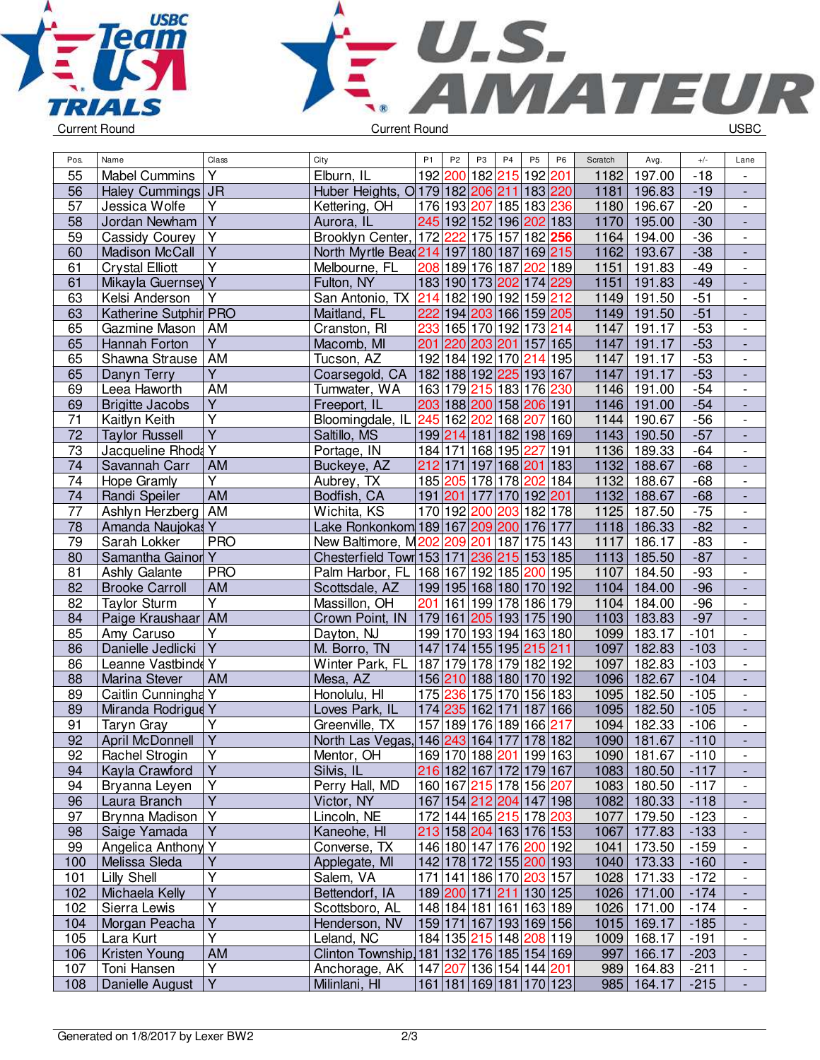



| Pos. | Name                   | Class                   | City                                                | P <sub>1</sub> | P <sub>2</sub> | P <sub>3</sub>                         | P <sub>4</sub> | P <sub>5</sub>  | P <sub>6</sub> | Scratch | Avg.        | $+/-$  | Lane                     |
|------|------------------------|-------------------------|-----------------------------------------------------|----------------|----------------|----------------------------------------|----------------|-----------------|----------------|---------|-------------|--------|--------------------------|
| 55   | <b>Mabel Cummins</b>   | Y                       | Elburn, IL                                          | 192 200        |                |                                        | 182 215        | 192 201         |                | 1182    | 197.00      | $-18$  | $\overline{\phantom{a}}$ |
| 56   | Haley Cummings JR      |                         | Huber Heights, O 179 182 206 211                    |                |                |                                        |                | 183 220         |                | 1181    | 196.83      | $-19$  |                          |
| 57   | Jessica Wolfe          | $\overline{Y}$          | Kettering, OH                                       |                |                | 176 193 207 185 183 236                |                |                 |                | 1180    | 196.67      | $-20$  | $\overline{\phantom{a}}$ |
| 58   | Jordan Newham          | $\overline{Y}$          | Aurora, IL                                          |                |                | 245 192 152 196 202 183                |                |                 |                | 1170    | 195.00      | $-30$  | $\overline{a}$           |
| 59   | Cassidy Courey         | Y                       | Brooklyn Center, 172 222                            |                |                | 175 157 182 256                        |                |                 |                | 1164    | 194.00      | $-36$  | $\overline{\phantom{a}}$ |
| 60   | <b>Madison McCall</b>  | $\overline{Y}$          | North Myrtle Bead 214 197 180 187                   |                |                |                                        |                | 169 215         |                | 1162    | 193.67      | $-38$  | $\overline{\phantom{a}}$ |
| 61   | <b>Crystal Elliott</b> | Υ                       | Melbourne, FL                                       |                |                | 208 189 176 187                        |                | 202 189         |                | 1151    | 191.83      | $-49$  | $\overline{\phantom{a}}$ |
| 61   | Mikayla Guernsey Y     |                         | Fulton, NY                                          |                |                | 183 190 173 202 174 229                |                |                 |                | 1151    | 191.83      | $-49$  | ٠                        |
| 63   | Kelsi Anderson         | $\overline{Y}$          | San Antonio, TX                                     | 214            |                | 182 190 192 159 212                    |                |                 |                | 1149    | 191.50      | $-51$  | $\overline{\phantom{a}}$ |
| 63   | Katherine Sutphir PRO  |                         | Maitland, FL                                        | 222            |                | 194 203 166 159 205                    |                |                 |                | 1149    | 191.50      | $-51$  | $\frac{1}{2}$            |
| 65   | Gazmine Mason          | AM                      | Cranston, RI                                        | 233            |                | 165 170 192 173 214                    |                |                 |                | 1147    | 191.17      | $-53$  | $\overline{\phantom{0}}$ |
| 65   | Hannah Forton          | Υ                       | Macomb, MI                                          |                |                | 201 220 203 201                        |                | 157 165         |                | 1147    | 191.17      | $-53$  | $\overline{a}$           |
| 65   | Shawna Strause         | AM                      | Tucson, AZ                                          |                |                | 192 184 192 170                        |                | 214 195         |                | 1147    | 191.17      | $-53$  | $\overline{\phantom{a}}$ |
| 65   | Danyn Terry            | $\overline{Y}$          | Coarsegold, CA                                      |                |                | 182 188 192  <mark>225</mark>  193 167 |                |                 |                | 1147    | 191.17      | $-53$  | $\overline{a}$           |
| 69   | Leea Haworth           | AM                      | Tumwater, WA                                        |                |                | 163 179 215 183 176 230                |                |                 |                | 1146    | 191.00      | $-54$  | $\overline{a}$           |
| 69   | <b>Brigitte Jacobs</b> | Υ                       | Freeport, IL                                        |                |                | 203 188 200 158 206 191                |                |                 |                | 1146    | 191.00      | $-54$  | $\overline{\phantom{a}}$ |
| 71   | Kaitlyn Keith          | Υ                       | Bloomingdale, IL                                    |                |                | 245 162 202 168                        |                | 207 160         |                | 1144    | 190.67      | $-56$  | $\overline{\phantom{0}}$ |
| 72   | <b>Taylor Russell</b>  | $\overline{\mathsf{Y}}$ | Saltillo, MS                                        |                |                | 199 214 181 182 198 169                |                |                 |                | 1143    | 190.50      | $-57$  | $\overline{\phantom{a}}$ |
| 73   | Jacqueline Rhoda Y     |                         | Portage, IN                                         |                |                | 184 171 168 195                        |                | 227 191         |                | 1136    | 189.33      | $-64$  | $\overline{\phantom{0}}$ |
| 74   | Savannah Carr          | AM                      | Buckeye, AZ                                         |                |                | 212 171 197 168 201 183                |                |                 |                | 1132    | 188.67      | $-68$  | $\frac{1}{2}$            |
| 74   | Hope Gramly            | Ÿ                       | Aubrey, TX                                          |                | 185 205        |                                        |                | 178 178 202 184 |                | 1132    | 188.67      | $-68$  | $\overline{\phantom{0}}$ |
| 74   | Randi Speiler          | AM                      | Bodfish, CA                                         |                |                | 191 201 177 170 192 201                |                |                 |                | 1132    | 188.67      | $-68$  | $\blacksquare$           |
| 77   | Ashlyn Herzberg        | AM                      | Wichita, KS                                         |                |                | 170 192 200 203 182 178                |                |                 |                | 1125    | 187.50      | $-75$  | $\overline{\phantom{a}}$ |
| 78   | Amanda Naujokas Y      |                         | Lake Ronkonkom 189 167 209 200 176 177              |                |                |                                        |                |                 |                | 1118    | 186.33      | $-82$  |                          |
| 79   | Sarah Lokker           | <b>PRO</b>              | New Baltimore, M202 209 201 187                     |                |                |                                        |                | 175 143         |                | $1117$  | 186.17      | $-83$  | $\frac{1}{2}$            |
| 80   | Samantha Gainor Y      |                         | Chesterfield Town 153 171 236 215                   |                |                |                                        |                | 153 185         |                | 1113    | 185.50      | $-87$  | $\overline{\phantom{a}}$ |
| 81   | Ashly Galante          | <b>PRO</b>              | Palm Harbor, FL   168   167   192   185             |                |                |                                        |                | 200 195         |                | 1107    | 184.50      | $-93$  | $\overline{\phantom{0}}$ |
| 82   | <b>Brooke Carroll</b>  | AM                      | Scottsdale, AZ                                      |                |                | 199 195 168 180 170 192                |                |                 |                | 1104    | 184.00      | $-96$  | $\overline{\phantom{a}}$ |
| 82   | <b>Taylor Sturm</b>    | $\overline{Y}$          | Massillon, OH                                       | 201            | 161            | 199 178                                |                | 186 179         |                | 1104    | 184.00      | $-96$  | $\overline{\phantom{0}}$ |
| 84   | Paige Kraushaar AM     |                         | Crown Point, IN                                     |                |                | 179 161 205 193 175 190                |                |                 |                | 1103    | 183.83      | $-97$  | $\frac{1}{2}$            |
| 85   | Amy Caruso             | Υ                       | Dayton, NJ                                          |                |                | 199 170 193 194 163 180                |                |                 |                | 1099    | 183.17      | $-101$ | $\overline{\phantom{a}}$ |
| 86   | Danielle Jedlicki      | $\overline{Y}$          | M. Borro, TN                                        |                |                | 147 174 155 195 215 211                |                |                 |                | 1097    | 182.83      | $-103$ | $\Box$                   |
| 86   | Leanne Vastbinde Y     |                         | Winter Park, FL                                     |                |                | 187 179 178 179 182 192                |                |                 |                | 1097    | 182.83      | $-103$ | $\overline{\phantom{a}}$ |
| 88   | Marina Stever          | AM                      | Mesa, AZ                                            |                | 156 210        | 188 180                                |                | 170 192         |                | 1096    | 182.67      | $-104$ | $\overline{a}$           |
| 89   | Caitlin Cunningha Y    |                         | Honolulu, HI                                        |                | 175 236        |                                        | 175 170        | 156 183         |                | 1095    | 182.50      | $-105$ | $\overline{\phantom{a}}$ |
| 89   | Miranda Rodrigue Y     |                         | Loves Park, IL                                      |                |                | 174 235 162 171                        |                | 187 166         |                | 1095    | 182.50      | $-105$ | $\overline{\phantom{a}}$ |
| 91   | <b>Taryn Gray</b>      | Υ                       | Greenville, TX                                      |                |                | 157 189 176 189 166                    |                |                 | 217            | 1094    | 182.33      | $-106$ | $\overline{\phantom{0}}$ |
| 92   | <b>April McDonnell</b> | Ÿ                       | North Las Vegas, 146 243 164 177                    |                |                |                                        |                | 178 182         |                | 1090    | 181.67      | $-110$ | $\overline{a}$           |
| 92   | Rachel Strogin         | Y                       | Mentor, OH                                          |                |                | 169 170 188 201 199 163                |                |                 |                |         | 1090 181.67 | $-110$ |                          |
| 94   | Kayla Crawford         | $\overline{Y}$          | Silvis, IL                                          |                |                | 216 182 167 172 179 167                |                |                 |                |         | 1083 180.50 | $-117$ |                          |
| 94   | Bryanna Leyen          | Y                       | Perry Hall, MD                                      |                |                | 160 167 215 178 156 207                |                |                 |                | 1083    | 180.50      | $-117$ |                          |
| 96   | Laura Branch           | $\overline{Y}$          | Victor, NY                                          |                |                | 167 154 212 204 147 198                |                |                 |                |         | 1082 180.33 | $-118$ | $\overline{\phantom{a}}$ |
| 97   | Brynna Madison         | $\overline{Y}$          | Lincoln, NE                                         |                |                | 172 144 165 215 178 203                |                |                 |                | 1077    | 179.50      | $-123$ | $\blacksquare$           |
| 98   | Saige Yamada           | Y                       | Kaneohe, HI                                         |                |                | 213 158 204 163 176 153                |                |                 |                | 1067    | 177.83      | $-133$ | $\overline{\phantom{a}}$ |
| 99   | Angelica Anthony Y     |                         | Converse, TX                                        |                |                | 146 180 147 176 200 192                |                |                 |                | 1041    | 173.50      | $-159$ | $\overline{\phantom{a}}$ |
| 100  | Melissa Sleda          | Y                       | Applegate, MI                                       |                |                | 142 178 172 155 200 193                |                |                 |                | 1040    | 173.33      | $-160$ | $\overline{\phantom{a}}$ |
| 101  | Lilly Shell            | Υ                       | Salem, VA                                           |                |                | 171 141 186 170 203 157                |                |                 |                | 1028    | 171.33      | $-172$ | $\overline{\phantom{0}}$ |
| 102  | Michaela Kelly         | $\overline{\mathsf{Y}}$ | Bettendorf, IA                                      |                |                | 189 200 171 211 130 125                |                |                 |                | 1026    | 171.00      | $-174$ | $\overline{\phantom{0}}$ |
| 102  | Sierra Lewis           | Y                       | Scottsboro, AL                                      |                |                | 148 184 181 161 163 189                |                |                 |                | 1026    | 171.00      | $-174$ | $\qquad \qquad -$        |
| 104  | Morgan Peacha          | $\overline{Y}$          | Henderson, NV                                       |                |                | 159 171 167 193 169 156                |                |                 |                |         | 1015 169.17 | $-185$ | ٠                        |
| 105  | Lara Kurt              | $\overline{\mathsf{Y}}$ | Leland, NC                                          |                |                | 184 135 215 148 208 119                |                |                 |                | 1009    | 168.17      | $-191$ | $\overline{\phantom{0}}$ |
| 106  | Kristen Young          | AM                      | Clinton Township, 181   132   176   185   154   169 |                |                |                                        |                |                 |                | 997     | 166.17      | $-203$ | $\overline{\phantom{a}}$ |
| 107  | Toni Hansen            | $\overline{Y}$          | Anchorage, AK                                       |                |                | 147 207 136 154 144 201                |                |                 |                |         | 989 164.83  | $-211$ | $\blacksquare$           |
| 108  | Danielle August        | $\overline{Y}$          | Milinlani, HI                                       |                |                | 161   181   169   181   170   123      |                |                 |                |         | 985 164.17  | $-215$ | $\overline{a}$           |